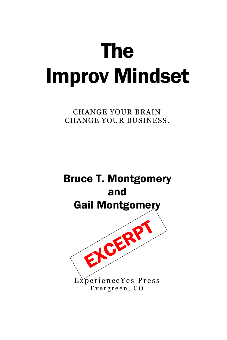# The Improv Mindset

CHANGE YOUR BRAIN. CHANGE YOUR BUSINESS.

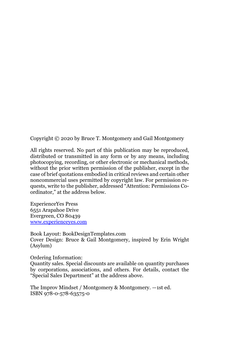Copyright © 2020 by Bruce T. Montgomery and Gail Montgomery

All rights reserved. No part of this publication may be reproduced, distributed or transmitted in any form or by any means, including photocopying, recording, or other electronic or mechanical methods, without the prior written permission of the publisher, except in the case of brief quotations embodied in critical reviews and certain other noncommercial uses permitted by copyright law. For permission requests, write to the publisher, addressed "Attention: Permissions Coordinator," at the address below.

ExperienceYes Press 6551 Arapahoe Drive Evergreen, CO 80439 [www.experienceyes.com](http://www.experienceyes.com/)

Book Layout: BookDesignTemplates.com Cover Design: Bruce & Gail Montgomery, inspired by Erin Wright (Asylum)

Ordering Information:

Quantity sales. Special discounts are available on quantity purchases by corporations, associations, and others. For details, contact the "Special Sales Department" at the address above.

The Improv Mindset / Montgomery & Montgomery. —1st ed. ISBN 978-0-578-63575-0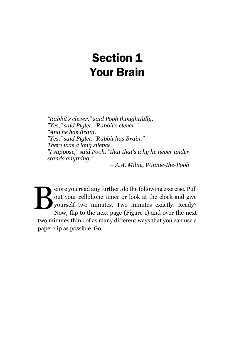# Section 1 Your Brain

*"Rabbit's clever," said Pooh thoughtfully. "Yes," said Piglet, "Rabbit's clever." "And he has Brain." "Yes," said Piglet, "Rabbit has Brain." There was a long silence. "I suppose," said Pooh, "that that's why he never understands anything."* 

*– A.A. Milne, Winnie-the-Pooh*

efore you read any further, do the following exercise. Pull out your cellphone timer or look at the clock and give yourself two minutes. Two minutes exactly. Ready? Now, flip to the next page [\(Figure 1\)](#page-3-0) and over the next two minutes think of as many different ways that you can use a paperclip as possible. Go. B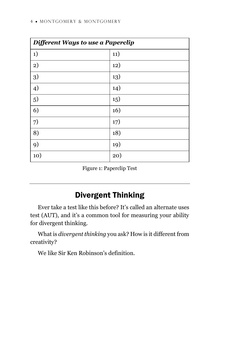| Different Ways to use a Paperclip |     |
|-----------------------------------|-----|
| 1)                                | 11) |
| 2)                                | 12) |
| 3)                                | 13) |
| 4)                                | 14) |
| 5)                                | 15) |
| 6)                                | 16) |
| 7)                                | 17) |
| 8)                                | 18) |
| 9)                                | 19) |
| 10)                               | 20) |

Figure 1: Paperclip Test

# Divergent Thinking

<span id="page-3-0"></span>Ever take a test like this before? It's called an alternate uses test (AUT), and it's a common tool for measuring your ability for divergent thinking.

What is *divergent thinking* you ask? How is it different from creativity?

We like Sir Ken Robinson's definition.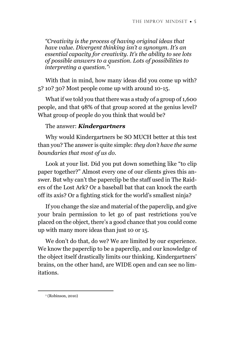*"Creativity is the process of having original ideas that have value. Divergent thinking isn't a synonym. It's an essential capacity for creativity. It's the ability to see lots of possible answers to a question. Lots of possibilities to interpreting a question."<sup>1</sup>*

With that in mind, how many ideas did you come up with? 5? 10? 30? Most people come up with around 10-15.

What if we told you that there was a study of a group of 1,600 people, and that 98% of that group scored at the genius level? What group of people do you think that would be?

#### The answer: *Kindergartners*

Why would Kindergartners be SO MUCH better at this test than you? The answer is quite simple: *they don't have the same boundaries that most of us do*.

Look at your list. Did you put down something like "to clip paper together?" Almost every one of our clients gives this answer. But why can't the paperclip be the staff used in The Raiders of the Lost Ark? Or a baseball bat that can knock the earth off its axis? Or a fighting stick for the world's smallest ninja?

If you change the size and material of the paperclip, and give your brain permission to let go of past restrictions you've placed on the object, there's a good chance that you could come up with many more ideas than just 10 or 15.

We don't do that, do we? We are limited by our experience. We know the paperclip to be a paperclip, and our knowledge of the object itself drastically limits our thinking. Kindergartners' brains, on the other hand, are WIDE open and can see no limitations.

<sup>&</sup>lt;sup>1</sup> (Robinson, 2010)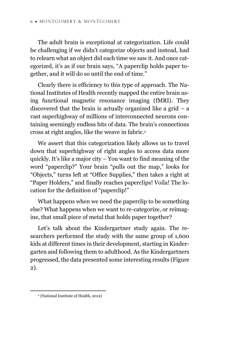The adult brain is exceptional at categorization. Life could be challenging if we didn't categorize objects and instead, had to relearn what an object did each time we saw it. And once categorized, it's as if our brain says, "A paperclip holds paper together, and it will do so until the end of time."

Clearly there is efficiency to this type of approach. The National Institutes of Health recently mapped the entire brain using functional magnetic resonance imaging (fMRI). They discovered that the brain is actually organized like a grid  $-$  a vast superhighway of millions of interconnected neurons containing seemingly endless bits of data. The brain's connections cross at right angles, like the weave in fabric.<sup>2</sup>

We assert that this categorization likely allows us to travel down that superhighway of right angles to access data more quickly. It's like a major city – You want to find meaning of the word "paperclip?" Your brain "pulls out the map," looks for "Objects," turns left at "Office Supplies," then takes a right at "Paper Holders," and finally reaches paperclips! Voila! The location for the definition of "paperclip!"

What happens when we need the paperclip to be something else? What happens when we want to re-categorize, or reimagine, that small piece of metal that holds paper together?

Let's talk about the Kindergartner study again. The researchers performed the study with the same group of 1,600 kids at different times in their development, starting in Kindergarten and following them to adulthood. As the Kindergartners progressed, the data presented some interesting results [\(Figure](#page-6-0)  [2\)](#page-6-0).

<sup>2</sup> (National Institute of Health, 2012)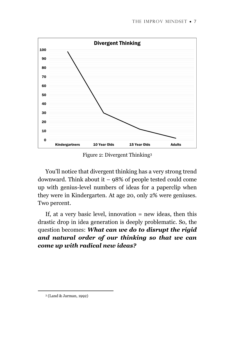

Figure 2: Divergent Thinking<sup>3</sup>

<span id="page-6-0"></span>You'll notice that divergent thinking has a very strong trend downward. Think about it – 98% of people tested could come up with genius-level numbers of ideas for a paperclip when they were in Kindergarten. At age 20, only 2% were geniuses. Two percent.

If, at a very basic level, innovation = new ideas, then this drastic drop in idea generation is deeply problematic. So, the question becomes: *What can we do to disrupt the rigid and natural order of our thinking so that we can come up with radical new ideas?*

<sup>3</sup> (Land & Jarman, 1992)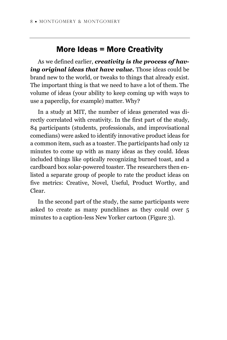### More Ideas = More Creativity

As we defined earlier, *creativity is the process of hav*ing original ideas that have value. Those ideas could be brand new to the world, or tweaks to things that already exist. The important thing is that we need to have a lot of them. The volume of ideas (your ability to keep coming up with ways to use a paperclip, for example) matter. Why?

In a study at MIT, the number of ideas generated was directly correlated with creativity. In the first part of the study, 84 participants (students, professionals, and improvisational comedians) were asked to identify innovative product ideas for a common item, such as a toaster. The participants had only 12 minutes to come up with as many ideas as they could. Ideas included things like optically recognizing burned toast, and a cardboard box solar-powered toaster. The researchers then enlisted a separate group of people to rate the product ideas on five metrics: Creative, Novel, Useful, Product Worthy, and Clear.

In the second part of the study, the same participants were asked to create as many punchlines as they could over 5 minutes to a caption-less New Yorker cartoon [\(Figure](#page-8-0) 3).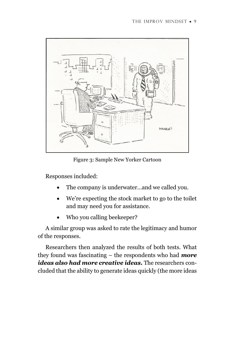

Figure 3: Sample New Yorker Cartoon

<span id="page-8-0"></span>Responses included:

- The company is underwater...and we called you.
- We're expecting the stock market to go to the toilet and may need you for assistance.
- Who you calling beekeeper?

A similar group was asked to rate the legitimacy and humor of the responses.

Researchers then analyzed the results of both tests. What they found was fascinating – the respondents who had *more ideas also had more creative ideas.* The researchers concluded that the ability to generate ideas quickly (the more ideas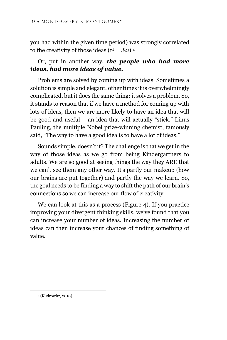you had within the given time period) was strongly correlated to the creativity of those ideas ( $r^2 = .82$ ).<sup>4</sup>

#### Or, put in another way, *the people who had more ideas, had more ideas of value.*

Problems are solved by coming up with ideas. Sometimes a solution is simple and elegant, other times it is overwhelmingly complicated, but it does the same thing: it solves a problem. So, it stands to reason that if we have a method for coming up with lots of ideas, then we are more likely to have an idea that will be good and useful – an idea that will actually "stick." Linus Pauling, the multiple Nobel prize-winning chemist, famously said, "The way to have a good idea is to have a lot of ideas."

Sounds simple, doesn't it? The challenge is that we get in the way of those ideas as we go from being Kindergartners to adults. We are so good at seeing things the way they ARE that we can't see them any other way. It's partly our makeup (how our brains are put together) and partly the way we learn. So, the goal needs to be finding a way to shift the path of our brain's connections so we can increase our flow of creativity.

We can look at this as a process [\(Figure 4\)](#page-10-0). If you practice improving your divergent thinking skills, we've found that you can increase your number of ideas. Increasing the number of ideas can then increase your chances of finding something of value.

<sup>4</sup> (Kudrowitz, 2010)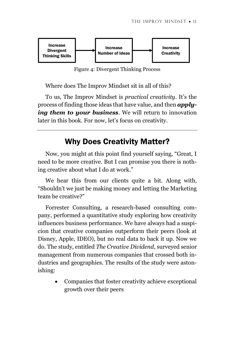

Figure 4: Divergent Thinking Process

<span id="page-10-0"></span>Where does The Improv Mindset sit in all of this?

To us, The Improv Mindset is *practical creativity*. It's the process of finding those ideas that have value, and then *applying them to your business*. We will return to innovation later in this book. For now, let's focus on creativity.

## Why Does Creativity Matter?

Now, you might at this point find yourself saying, "Great, I need to be more creative. But I can promise you there is nothing creative about what I do at work."

We hear this from our clients quite a bit. Along with, "Shouldn't we just be making money and letting the Marketing team be creative?"

Forrester Consulting, a research-based consulting company, performed a quantitative study exploring how creativity influences business performance. We have always had a suspicion that creative companies outperform their peers (look at Disney, Apple, IDEO), but no real data to back it up. Now we do. The study, entitled *The Creative Dividend*, surveyed senior management from numerous companies that crossed both industries and geographies. The results of the study were astonishing:

> • Companies that foster creativity achieve exceptional growth over their peers